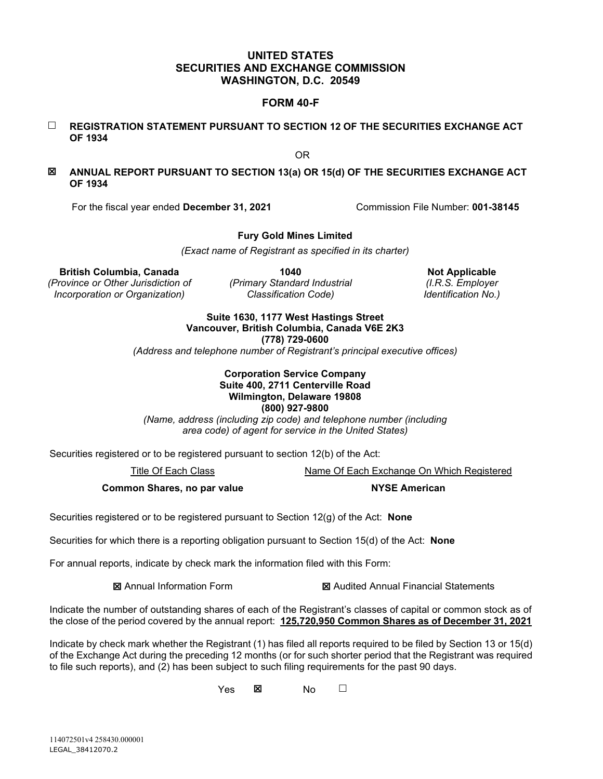## **UNITED STATES SECURITIES AND EXCHANGE COMMISSION WASHINGTON, D.C. 20549**

## **FORM 40-F**

 **REGISTRATION STATEMENT PURSUANT TO SECTION 12 OF THE SECURITIES EXCHANGE ACT OF 1934**

OR

 **ANNUAL REPORT PURSUANT TO SECTION 13(a) OR 15(d) OF THE SECURITIES EXCHANGE ACT OF 1934**

For the fiscal year ended **December 31, 2021** Commission File Number: **001-38145**

### **Fury Gold Mines Limited**

*(Exact name of Registrant as specified in its charter)*

**British Columbia, Canada 1040 1040 Not Applicable** *(Province or Other Jurisdiction of Incorporation or Organization)*

*(Primary Standard Industrial Classification Code)*

*(I.R.S. Employer Identification No.)*

**Suite 1630, 1177 West Hastings Street Vancouver, British Columbia, Canada V6E 2K3 (778) 729-0600**

*(Address and telephone number of Registrant's principal executive offices)*

#### **Corporation Service Company Suite 400, 2711 Centerville Road Wilmington, Delaware 19808 (800) 927-9800**

*(Name, address (including zip code) and telephone number (including area code) of agent for service in the United States)*

Securities registered or to be registered pursuant to section 12(b) of the Act:

Title Of Each Class Name Of Each Exchange On Which Registered

#### **Common Shares, no par value NYSE American**

Securities registered or to be registered pursuant to Section 12(g) of the Act: **None**

Securities for which there is a reporting obligation pursuant to Section 15(d) of the Act: **None**

For annual reports, indicate by check mark the information filed with this Form:

Annual Information Form Audited Annual Financial Statements

Indicate the number of outstanding shares of each of the Registrant's classes of capital or common stock as of the close of the period covered by the annual report: **125,720,950 Common Shares as of December 31, 2021**

Indicate by check mark whether the Registrant (1) has filed all reports required to be filed by Section 13 or 15(d) of the Exchange Act during the preceding 12 months (or for such shorter period that the Registrant was required to file such reports), and (2) has been subject to such filing requirements for the past 90 days.

Yes  $\boxtimes$  No  $\Box$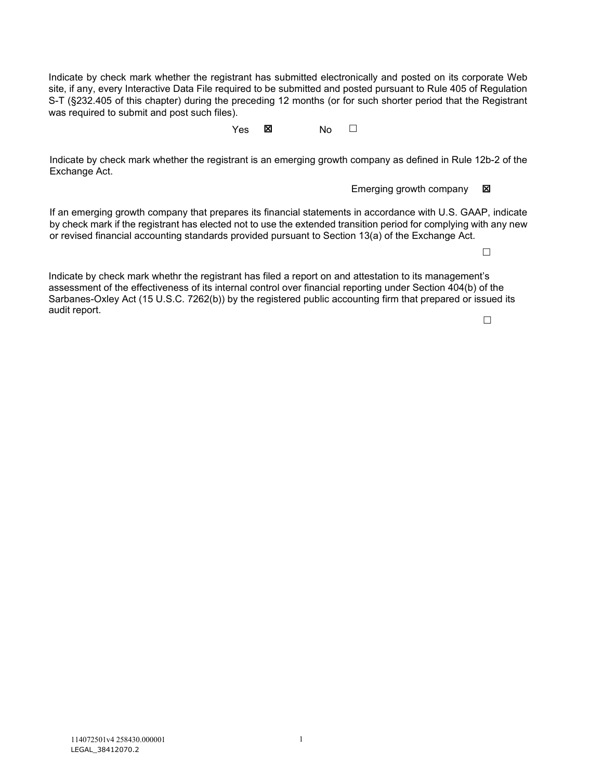Indicate by check mark whether the registrant has submitted electronically and posted on its corporate Web site, if any, every Interactive Data File required to be submitted and posted pursuant to Rule 405 of Regulation S-T (§232.405 of this chapter) during the preceding 12 months (or for such shorter period that the Registrant was required to submit and post such files).

# $Yes$   $X$  No  $\Box$

Indicate by check mark whether the registrant is an emerging growth company as defined in Rule 12b-2 of the Exchange Act.

Emerging growth company **X** 

If an emerging growth company that prepares its financial statements in accordance with U.S. GAAP, indicate by check mark if the registrant has elected not to use the extended transition period for complying with any new or revised financial accounting standards provided pursuant to Section 13(a) of the Exchange Act.

 $\Box$ 

Indicate by check mark whethr the registrant has filed a report on and attestation to its management's assessment of the effectiveness of its internal control over financial reporting under Section 404(b) of the Sarbanes-Oxley Act (15 U.S.C. 7262(b)) by the registered public accounting firm that prepared or issued its audit report.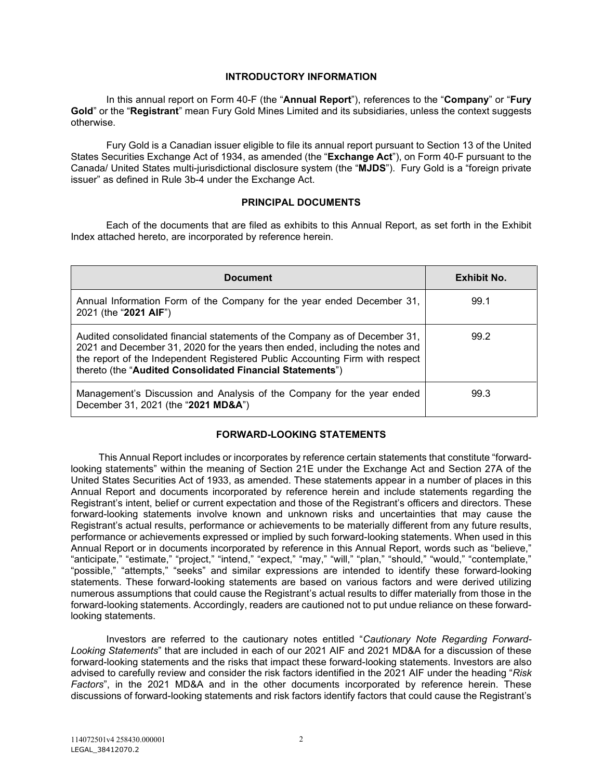### **INTRODUCTORY INFORMATION**

In this annual report on Form 40-F (the "**Annual Report**"), references to the "**Company**" or "**Fury Gold**" or the "**Registrant**" mean Fury Gold Mines Limited and its subsidiaries, unless the context suggests otherwise.

Fury Gold is a Canadian issuer eligible to file its annual report pursuant to Section 13 of the United States Securities Exchange Act of 1934, as amended (the "**Exchange Act**"), on Form 40-F pursuant to the Canada/ United States multi-jurisdictional disclosure system (the "**MJDS**"). Fury Gold is a "foreign private issuer" as defined in Rule 3b-4 under the Exchange Act.

### **PRINCIPAL DOCUMENTS**

Each of the documents that are filed as exhibits to this Annual Report, as set forth in the Exhibit Index attached hereto, are incorporated by reference herein.

| <b>Document</b>                                                                                                                                                                                                                                                                                          | <b>Exhibit No.</b> |
|----------------------------------------------------------------------------------------------------------------------------------------------------------------------------------------------------------------------------------------------------------------------------------------------------------|--------------------|
| Annual Information Form of the Company for the year ended December 31,<br>2021 (the "2021 AIF")                                                                                                                                                                                                          | 99.1               |
| Audited consolidated financial statements of the Company as of December 31,<br>2021 and December 31, 2020 for the years then ended, including the notes and<br>the report of the Independent Registered Public Accounting Firm with respect<br>thereto (the "Audited Consolidated Financial Statements") | 99.2               |
| Management's Discussion and Analysis of the Company for the year ended<br>December 31, 2021 (the "2021 MD&A")                                                                                                                                                                                            | 99.3               |

# **FORWARD-LOOKING STATEMENTS**

This Annual Report includes or incorporates by reference certain statements that constitute "forwardlooking statements" within the meaning of Section 21E under the Exchange Act and Section 27A of the United States Securities Act of 1933, as amended. These statements appear in a number of places in this Annual Report and documents incorporated by reference herein and include statements regarding the Registrant's intent, belief or current expectation and those of the Registrant's officers and directors. These forward-looking statements involve known and unknown risks and uncertainties that may cause the Registrant's actual results, performance or achievements to be materially different from any future results, performance or achievements expressed or implied by such forward-looking statements. When used in this Annual Report or in documents incorporated by reference in this Annual Report, words such as "believe," "anticipate," "estimate," "project," "intend," "expect," "may," "will," "plan," "should," "would," "contemplate," "possible," "attempts," "seeks" and similar expressions are intended to identify these forward-looking statements. These forward-looking statements are based on various factors and were derived utilizing numerous assumptions that could cause the Registrant's actual results to differ materially from those in the forward-looking statements. Accordingly, readers are cautioned not to put undue reliance on these forwardlooking statements.

Investors are referred to the cautionary notes entitled "*Cautionary Note Regarding Forward-Looking Statements*" that are included in each of our 2021 AIF and 2021 MD&A for a discussion of these forward-looking statements and the risks that impact these forward-looking statements. Investors are also advised to carefully review and consider the risk factors identified in the 2021 AIF under the heading "*Risk Factors*", in the 2021 MD&A and in the other documents incorporated by reference herein. These discussions of forward-looking statements and risk factors identify factors that could cause the Registrant's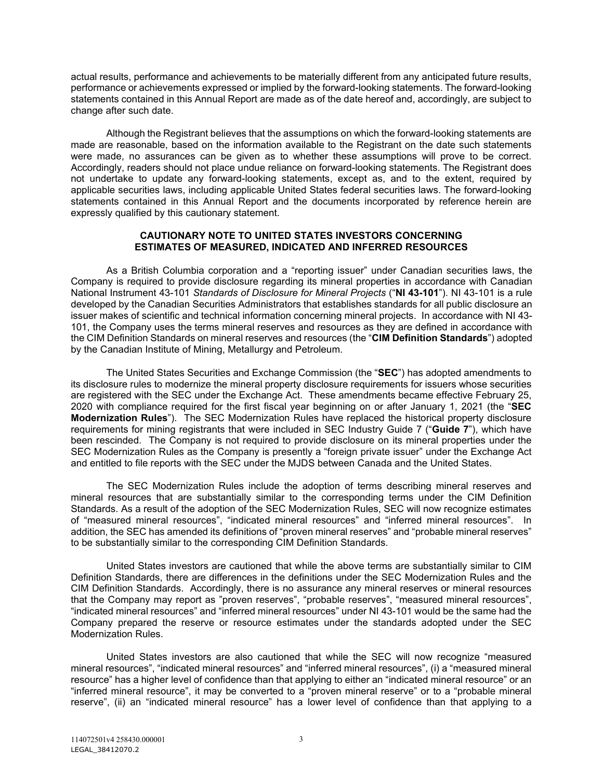actual results, performance and achievements to be materially different from any anticipated future results, performance or achievements expressed or implied by the forward-looking statements. The forward-looking statements contained in this Annual Report are made as of the date hereof and, accordingly, are subject to change after such date.

Although the Registrant believes that the assumptions on which the forward-looking statements are made are reasonable, based on the information available to the Registrant on the date such statements were made, no assurances can be given as to whether these assumptions will prove to be correct. Accordingly, readers should not place undue reliance on forward-looking statements. The Registrant does not undertake to update any forward-looking statements, except as, and to the extent, required by applicable securities laws, including applicable United States federal securities laws. The forward-looking statements contained in this Annual Report and the documents incorporated by reference herein are expressly qualified by this cautionary statement.

#### **CAUTIONARY NOTE TO UNITED STATES INVESTORS CONCERNING ESTIMATES OF MEASURED, INDICATED AND INFERRED RESOURCES**

As a British Columbia corporation and a "reporting issuer" under Canadian securities laws, the Company is required to provide disclosure regarding its mineral properties in accordance with Canadian National Instrument 43-101 *Standards of Disclosure for Mineral Projects* ("**NI 43-101**"). NI 43-101 is a rule developed by the Canadian Securities Administrators that establishes standards for all public disclosure an issuer makes of scientific and technical information concerning mineral projects. In accordance with NI 43- 101, the Company uses the terms mineral reserves and resources as they are defined in accordance with the CIM Definition Standards on mineral reserves and resources (the "**CIM Definition Standards**") adopted by the Canadian Institute of Mining, Metallurgy and Petroleum.

The United States Securities and Exchange Commission (the "**SEC**") has adopted amendments to its disclosure rules to modernize the mineral property disclosure requirements for issuers whose securities are registered with the SEC under the Exchange Act. These amendments became effective February 25, 2020 with compliance required for the first fiscal year beginning on or after January 1, 2021 (the "**SEC Modernization Rules**"). The SEC Modernization Rules have replaced the historical property disclosure requirements for mining registrants that were included in SEC Industry Guide 7 ("**Guide 7**"), which have been rescinded. The Company is not required to provide disclosure on its mineral properties under the SEC Modernization Rules as the Company is presently a "foreign private issuer" under the Exchange Act and entitled to file reports with the SEC under the MJDS between Canada and the United States.

The SEC Modernization Rules include the adoption of terms describing mineral reserves and mineral resources that are substantially similar to the corresponding terms under the CIM Definition Standards. As a result of the adoption of the SEC Modernization Rules, SEC will now recognize estimates of "measured mineral resources", "indicated mineral resources" and "inferred mineral resources". In addition, the SEC has amended its definitions of "proven mineral reserves" and "probable mineral reserves" to be substantially similar to the corresponding CIM Definition Standards.

United States investors are cautioned that while the above terms are substantially similar to CIM Definition Standards, there are differences in the definitions under the SEC Modernization Rules and the CIM Definition Standards. Accordingly, there is no assurance any mineral reserves or mineral resources that the Company may report as "proven reserves", "probable reserves", "measured mineral resources", "indicated mineral resources" and "inferred mineral resources" under NI 43-101 would be the same had the Company prepared the reserve or resource estimates under the standards adopted under the SEC Modernization Rules.

United States investors are also cautioned that while the SEC will now recognize "measured mineral resources", "indicated mineral resources" and "inferred mineral resources", (i) a "measured mineral resource" has a higher level of confidence than that applying to either an "indicated mineral resource" or an "inferred mineral resource", it may be converted to a "proven mineral reserve" or to a "probable mineral reserve", (ii) an "indicated mineral resource" has a lower level of confidence than that applying to a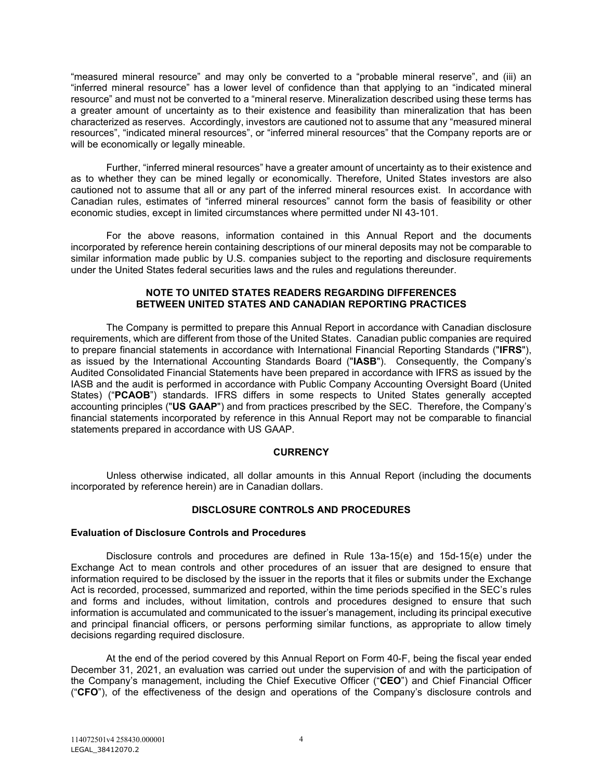"measured mineral resource" and may only be converted to a "probable mineral reserve", and (iii) an "inferred mineral resource" has a lower level of confidence than that applying to an "indicated mineral resource" and must not be converted to a "mineral reserve. Mineralization described using these terms has a greater amount of uncertainty as to their existence and feasibility than mineralization that has been characterized as reserves. Accordingly, investors are cautioned not to assume that any "measured mineral resources", "indicated mineral resources", or "inferred mineral resources" that the Company reports are or will be economically or legally mineable.

Further, "inferred mineral resources" have a greater amount of uncertainty as to their existence and as to whether they can be mined legally or economically. Therefore, United States investors are also cautioned not to assume that all or any part of the inferred mineral resources exist. In accordance with Canadian rules, estimates of "inferred mineral resources" cannot form the basis of feasibility or other economic studies, except in limited circumstances where permitted under NI 43-101.

For the above reasons, information contained in this Annual Report and the documents incorporated by reference herein containing descriptions of our mineral deposits may not be comparable to similar information made public by U.S. companies subject to the reporting and disclosure requirements under the United States federal securities laws and the rules and regulations thereunder.

#### **NOTE TO UNITED STATES READERS REGARDING DIFFERENCES BETWEEN UNITED STATES AND CANADIAN REPORTING PRACTICES**

The Company is permitted to prepare this Annual Report in accordance with Canadian disclosure requirements, which are different from those of the United States. Canadian public companies are required to prepare financial statements in accordance with International Financial Reporting Standards ("**IFRS**"), as issued by the International Accounting Standards Board ("**IASB**"). Consequently, the Company's Audited Consolidated Financial Statements have been prepared in accordance with IFRS as issued by the IASB and the audit is performed in accordance with Public Company Accounting Oversight Board (United States) ("**PCAOB**") standards. IFRS differs in some respects to United States generally accepted accounting principles ("**US GAAP**") and from practices prescribed by the SEC. Therefore, the Company's financial statements incorporated by reference in this Annual Report may not be comparable to financial statements prepared in accordance with US GAAP.

#### **CURRENCY**

Unless otherwise indicated, all dollar amounts in this Annual Report (including the documents incorporated by reference herein) are in Canadian dollars.

### **DISCLOSURE CONTROLS AND PROCEDURES**

#### **Evaluation of Disclosure Controls and Procedures**

Disclosure controls and procedures are defined in Rule 13a-15(e) and 15d-15(e) under the Exchange Act to mean controls and other procedures of an issuer that are designed to ensure that information required to be disclosed by the issuer in the reports that it files or submits under the Exchange Act is recorded, processed, summarized and reported, within the time periods specified in the SEC's rules and forms and includes, without limitation, controls and procedures designed to ensure that such information is accumulated and communicated to the issuer's management, including its principal executive and principal financial officers, or persons performing similar functions, as appropriate to allow timely decisions regarding required disclosure.

At the end of the period covered by this Annual Report on Form 40-F, being the fiscal year ended December 31, 2021, an evaluation was carried out under the supervision of and with the participation of the Company's management, including the Chief Executive Officer ("**CEO**") and Chief Financial Officer ("**CFO**"), of the effectiveness of the design and operations of the Company's disclosure controls and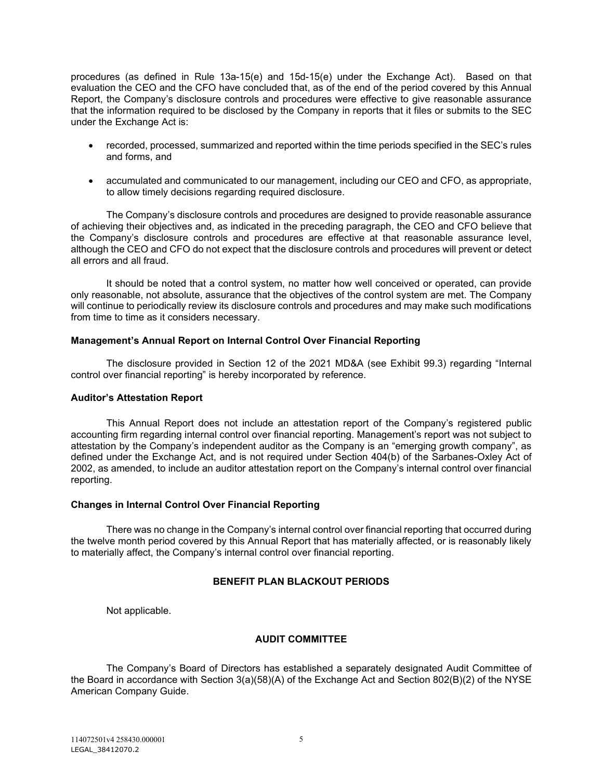procedures (as defined in Rule 13a-15(e) and 15d-15(e) under the Exchange Act). Based on that evaluation the CEO and the CFO have concluded that, as of the end of the period covered by this Annual Report, the Company's disclosure controls and procedures were effective to give reasonable assurance that the information required to be disclosed by the Company in reports that it files or submits to the SEC under the Exchange Act is:

- recorded, processed, summarized and reported within the time periods specified in the SEC's rules and forms, and
- accumulated and communicated to our management, including our CEO and CFO, as appropriate, to allow timely decisions regarding required disclosure.

The Company's disclosure controls and procedures are designed to provide reasonable assurance of achieving their objectives and, as indicated in the preceding paragraph, the CEO and CFO believe that the Company's disclosure controls and procedures are effective at that reasonable assurance level, although the CEO and CFO do not expect that the disclosure controls and procedures will prevent or detect all errors and all fraud.

It should be noted that a control system, no matter how well conceived or operated, can provide only reasonable, not absolute, assurance that the objectives of the control system are met. The Company will continue to periodically review its disclosure controls and procedures and may make such modifications from time to time as it considers necessary.

### **Management's Annual Report on Internal Control Over Financial Reporting**

The disclosure provided in Section 12 of the 2021 MD&A (see Exhibit 99.3) regarding "Internal control over financial reporting" is hereby incorporated by reference.

#### **Auditor's Attestation Report**

This Annual Report does not include an attestation report of the Company's registered public accounting firm regarding internal control over financial reporting. Management's report was not subject to attestation by the Company's independent auditor as the Company is an "emerging growth company", as defined under the Exchange Act, and is not required under Section 404(b) of the Sarbanes-Oxley Act of 2002, as amended, to include an auditor attestation report on the Company's internal control over financial reporting.

#### **Changes in Internal Control Over Financial Reporting**

There was no change in the Company's internal control over financial reporting that occurred during the twelve month period covered by this Annual Report that has materially affected, or is reasonably likely to materially affect, the Company's internal control over financial reporting.

### **BENEFIT PLAN BLACKOUT PERIODS**

Not applicable.

### **AUDIT COMMITTEE**

The Company's Board of Directors has established a separately designated Audit Committee of the Board in accordance with Section 3(a)(58)(A) of the Exchange Act and Section 802(B)(2) of the NYSE American Company Guide.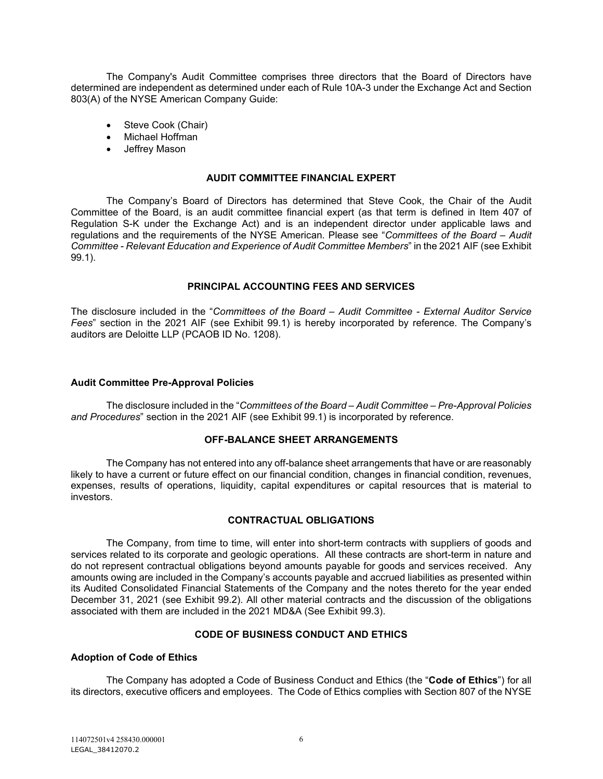The Company's Audit Committee comprises three directors that the Board of Directors have determined are independent as determined under each of Rule 10A-3 under the Exchange Act and Section 803(A) of the NYSE American Company Guide:

- Steve Cook (Chair)
- Michael Hoffman
- Jeffrey Mason

#### **AUDIT COMMITTEE FINANCIAL EXPERT**

The Company's Board of Directors has determined that Steve Cook, the Chair of the Audit Committee of the Board, is an audit committee financial expert (as that term is defined in Item 407 of Regulation S-K under the Exchange Act) and is an independent director under applicable laws and regulations and the requirements of the NYSE American. Please see "*Committees of the Board – Audit Committee - Relevant Education and Experience of Audit Committee Members*" in the 2021 AIF (see Exhibit 99.1).

#### **PRINCIPAL ACCOUNTING FEES AND SERVICES**

The disclosure included in the "*Committees of the Board – Audit Committee - External Auditor Service Fees*" section in the 2021 AIF (see Exhibit 99.1) is hereby incorporated by reference. The Company's auditors are Deloitte LLP (PCAOB ID No. 1208).

#### **Audit Committee Pre-Approval Policies**

The disclosure included in the "*Committees of the Board – Audit Committee – Pre-Approval Policies and Procedures*" section in the 2021 AIF (see Exhibit 99.1) is incorporated by reference.

#### **OFF-BALANCE SHEET ARRANGEMENTS**

The Company has not entered into any off-balance sheet arrangements that have or are reasonably likely to have a current or future effect on our financial condition, changes in financial condition, revenues, expenses, results of operations, liquidity, capital expenditures or capital resources that is material to investors.

### **CONTRACTUAL OBLIGATIONS**

The Company, from time to time, will enter into short-term contracts with suppliers of goods and services related to its corporate and geologic operations. All these contracts are short-term in nature and do not represent contractual obligations beyond amounts payable for goods and services received. Any amounts owing are included in the Company's accounts payable and accrued liabilities as presented within its Audited Consolidated Financial Statements of the Company and the notes thereto for the year ended December 31, 2021 (see Exhibit 99.2). All other material contracts and the discussion of the obligations associated with them are included in the 2021 MD&A (See Exhibit 99.3).

#### **CODE OF BUSINESS CONDUCT AND ETHICS**

#### **Adoption of Code of Ethics**

The Company has adopted a Code of Business Conduct and Ethics (the "**Code of Ethics**") for all its directors, executive officers and employees. The Code of Ethics complies with Section 807 of the NYSE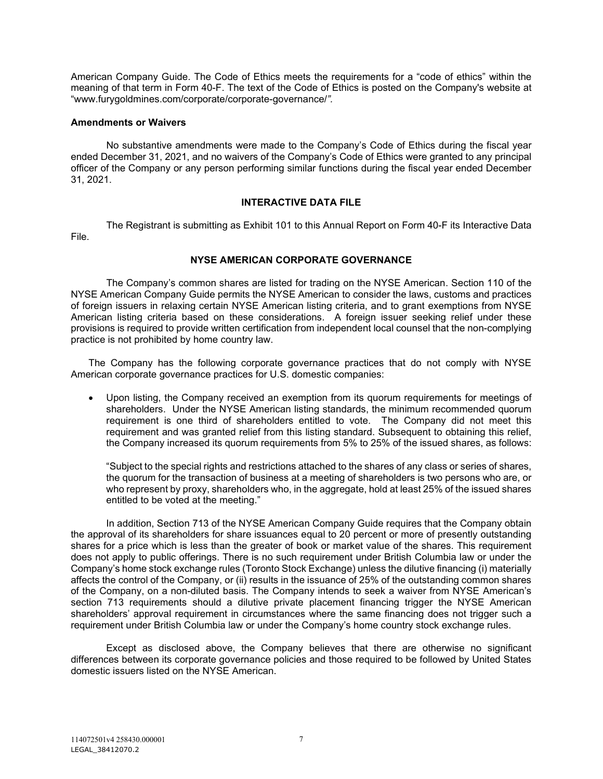American Company Guide. The Code of Ethics meets the requirements for a "code of ethics" within the meaning of that term in Form 40-F. The text of the Code of Ethics is posted on the Company's website at "www.furygoldmines.com/corporate/corporate-governance/*".*

#### **Amendments or Waivers**

No substantive amendments were made to the Company's Code of Ethics during the fiscal year ended December 31, 2021, and no waivers of the Company's Code of Ethics were granted to any principal officer of the Company or any person performing similar functions during the fiscal year ended December 31, 2021.

#### **INTERACTIVE DATA FILE**

The Registrant is submitting as Exhibit 101 to this Annual Report on Form 40-F its Interactive Data File.

### **NYSE AMERICAN CORPORATE GOVERNANCE**

The Company's common shares are listed for trading on the NYSE American. Section 110 of the NYSE American Company Guide permits the NYSE American to consider the laws, customs and practices of foreign issuers in relaxing certain NYSE American listing criteria, and to grant exemptions from NYSE American listing criteria based on these considerations. A foreign issuer seeking relief under these provisions is required to provide written certification from independent local counsel that the non-complying practice is not prohibited by home country law.

The Company has the following corporate governance practices that do not comply with NYSE American corporate governance practices for U.S. domestic companies:

• Upon listing, the Company received an exemption from its quorum requirements for meetings of shareholders. Under the NYSE American listing standards, the minimum recommended quorum requirement is one third of shareholders entitled to vote. The Company did not meet this requirement and was granted relief from this listing standard. Subsequent to obtaining this relief, the Company increased its quorum requirements from 5% to 25% of the issued shares, as follows:

"Subject to the special rights and restrictions attached to the shares of any class or series of shares, the quorum for the transaction of business at a meeting of shareholders is two persons who are, or who represent by proxy, shareholders who, in the aggregate, hold at least 25% of the issued shares entitled to be voted at the meeting."

In addition, Section 713 of the NYSE American Company Guide requires that the Company obtain the approval of its shareholders for share issuances equal to 20 percent or more of presently outstanding shares for a price which is less than the greater of book or market value of the shares. This requirement does not apply to public offerings. There is no such requirement under British Columbia law or under the Company's home stock exchange rules (Toronto Stock Exchange) unless the dilutive financing (i) materially affects the control of the Company, or (ii) results in the issuance of 25% of the outstanding common shares of the Company, on a non-diluted basis. The Company intends to seek a waiver from NYSE American's section 713 requirements should a dilutive private placement financing trigger the NYSE American shareholders' approval requirement in circumstances where the same financing does not trigger such a requirement under British Columbia law or under the Company's home country stock exchange rules.

Except as disclosed above, the Company believes that there are otherwise no significant differences between its corporate governance policies and those required to be followed by United States domestic issuers listed on the NYSE American.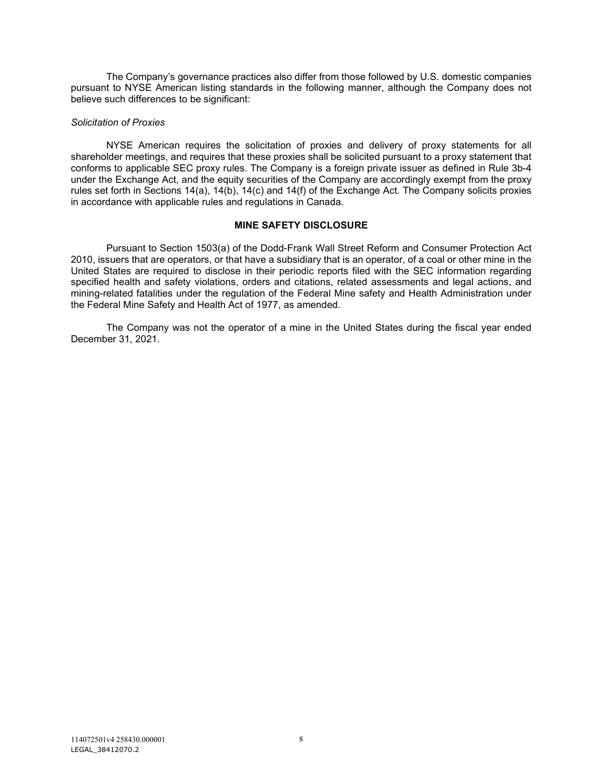The Company's governance practices also differ from those followed by U.S. domestic companies pursuant to NYSE American listing standards in the following manner, although the Company does not believe such differences to be significant:

#### *Solicitation of Proxies*

NYSE American requires the solicitation of proxies and delivery of proxy statements for all shareholder meetings, and requires that these proxies shall be solicited pursuant to a proxy statement that conforms to applicable SEC proxy rules. The Company is a foreign private issuer as defined in Rule 3b-4 under the Exchange Act, and the equity securities of the Company are accordingly exempt from the proxy rules set forth in Sections 14(a), 14(b), 14(c) and 14(f) of the Exchange Act. The Company solicits proxies in accordance with applicable rules and regulations in Canada.

### **MINE SAFETY DISCLOSURE**

Pursuant to Section 1503(a) of the Dodd-Frank Wall Street Reform and Consumer Protection Act 2010, issuers that are operators, or that have a subsidiary that is an operator, of a coal or other mine in the United States are required to disclose in their periodic reports filed with the SEC information regarding specified health and safety violations, orders and citations, related assessments and legal actions, and mining-related fatalities under the regulation of the Federal Mine safety and Health Administration under the Federal Mine Safety and Health Act of 1977, as amended.

The Company was not the operator of a mine in the United States during the fiscal year ended December 31, 2021.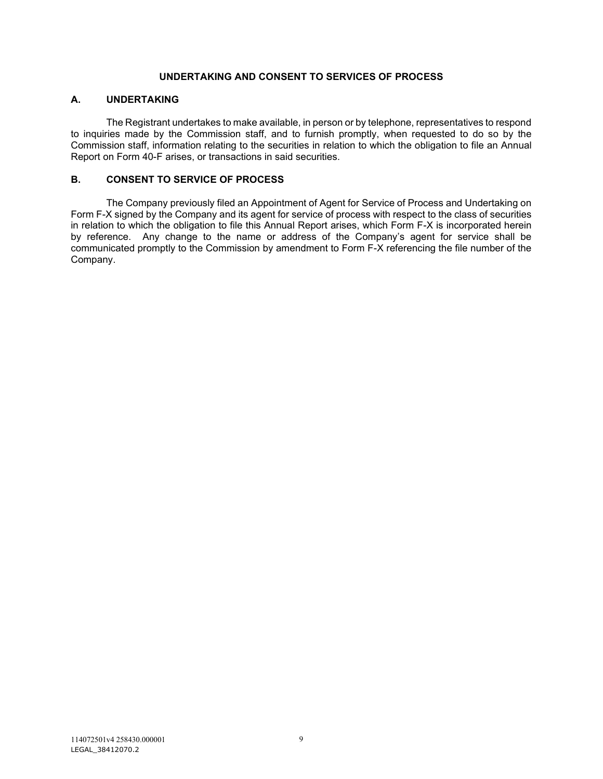## **UNDERTAKING AND CONSENT TO SERVICES OF PROCESS**

### **A. UNDERTAKING**

The Registrant undertakes to make available, in person or by telephone, representatives to respond to inquiries made by the Commission staff, and to furnish promptly, when requested to do so by the Commission staff, information relating to the securities in relation to which the obligation to file an Annual Report on Form 40-F arises, or transactions in said securities.

## **B. CONSENT TO SERVICE OF PROCESS**

The Company previously filed an Appointment of Agent for Service of Process and Undertaking on Form F-X signed by the Company and its agent for service of process with respect to the class of securities in relation to which the obligation to file this Annual Report arises, which Form F-X is incorporated herein by reference. Any change to the name or address of the Company's agent for service shall be communicated promptly to the Commission by amendment to Form F-X referencing the file number of the Company.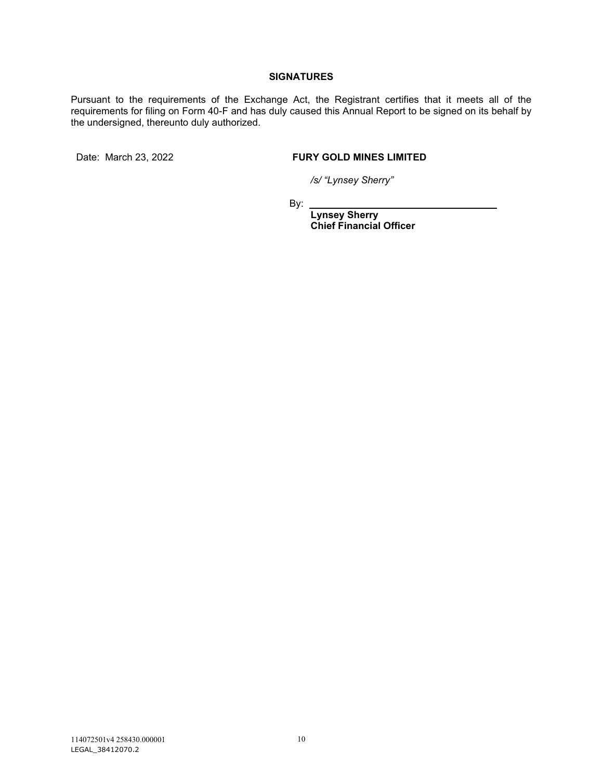#### **SIGNATURES**

Pursuant to the requirements of the Exchange Act, the Registrant certifies that it meets all of the requirements for filing on Form 40-F and has duly caused this Annual Report to be signed on its behalf by the undersigned, thereunto duly authorized.

## Date: March 23, 2022 **FURY GOLD MINES LIMITED**

*/s/ "Lynsey Sherry"*

 $By:$ 

**Lynsey Sherry Chief Financial Officer**